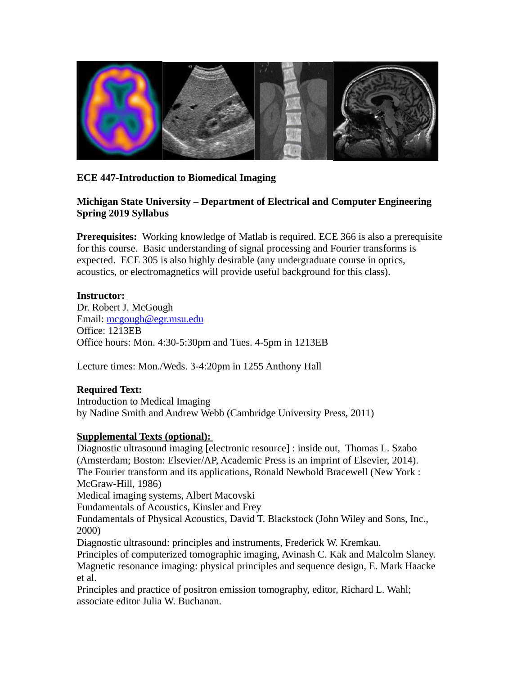

### **ECE 447-Introduction to Biomedical Imaging**

#### **Michigan State University – Department of Electrical and Computer Engineering Spring 2019 Syllabus**

**Prerequisites:** Working knowledge of Matlab is required. ECE 366 is also a prerequisite for this course. Basic understanding of signal processing and Fourier transforms is expected. ECE 305 is also highly desirable (any undergraduate course in optics, acoustics, or electromagnetics will provide useful background for this class).

#### **Instructor:**

Dr. Robert J. McGough Email: [mcgough@egr.msu.edu](mailto:mcgough@egr.msu.edu) Office: 1213EB Office hours: Mon. 4:30-5:30pm and Tues. 4-5pm in 1213EB

Lecture times: Mon./Weds. 3-4:20pm in 1255 Anthony Hall

#### **Required Text:**

Introduction to Medical Imaging by Nadine Smith and Andrew Webb (Cambridge University Press, 2011)

#### **Supplemental Texts (optional):**

Diagnostic ultrasound imaging [electronic resource] : inside out, Thomas L. Szabo (Amsterdam; Boston: Elsevier/AP, Academic Press is an imprint of Elsevier, 2014). The Fourier transform and its applications, Ronald Newbold Bracewell (New York : McGraw-Hill, 1986)

Medical imaging systems, Albert Macovski

Fundamentals of Acoustics, Kinsler and Frey

Fundamentals of Physical Acoustics, David T. Blackstock (John Wiley and Sons, Inc., 2000)

Diagnostic ultrasound: principles and instruments, Frederick W. Kremkau.

Principles of computerized tomographic imaging, Avinash C. Kak and Malcolm Slaney. Magnetic resonance imaging: physical principles and sequence design, E. Mark Haacke et al.

Principles and practice of positron emission tomography, editor, Richard L. Wahl; associate editor Julia W. Buchanan.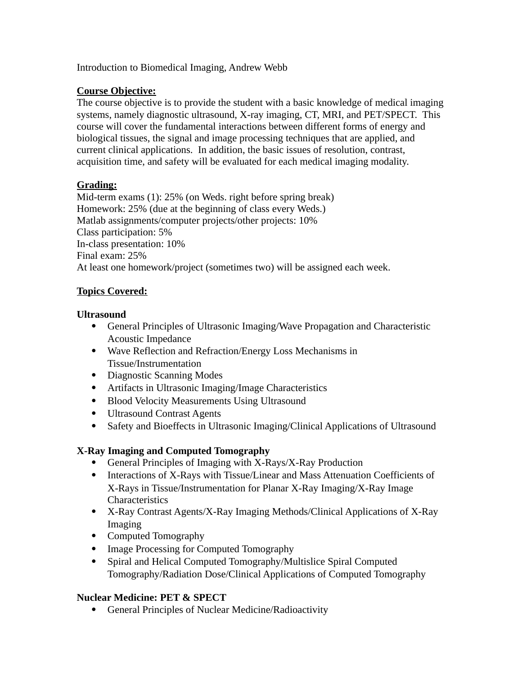Introduction to Biomedical Imaging, Andrew Webb

### **Course Objective:**

The course objective is to provide the student with a basic knowledge of medical imaging systems, namely diagnostic ultrasound, X-ray imaging, CT, MRI, and PET/SPECT. This course will cover the fundamental interactions between different forms of energy and biological tissues, the signal and image processing techniques that are applied, and current clinical applications. In addition, the basic issues of resolution, contrast, acquisition time, and safety will be evaluated for each medical imaging modality.

# **Grading:**

Mid-term exams (1): 25% (on Weds. right before spring break) Homework: 25% (due at the beginning of class every Weds.) Matlab assignments/computer projects/other projects: 10% Class participation: 5% In-class presentation: 10% Final exam: 25% At least one homework/project (sometimes two) will be assigned each week.

# **Topics Covered:**

### **Ultrasound**

- General Principles of Ultrasonic Imaging/Wave Propagation and Characteristic Acoustic Impedance
- Wave Reflection and Refraction/Energy Loss Mechanisms in Tissue/Instrumentation
- Diagnostic Scanning Modes
- Artifacts in Ultrasonic Imaging/Image Characteristics
- Blood Velocity Measurements Using Ultrasound
- Ultrasound Contrast Agents
- Safety and Bioeffects in Ultrasonic Imaging/Clinical Applications of Ultrasound

# **X-Ray Imaging and Computed Tomography**

- General Principles of Imaging with X-Rays/X-Ray Production
- Interactions of X-Rays with Tissue/Linear and Mass Attenuation Coefficients of X-Rays in Tissue/Instrumentation for Planar X-Ray Imaging/X-Ray Image **Characteristics**
- X-Ray Contrast Agents/X-Ray Imaging Methods/Clinical Applications of X-Ray Imaging
- Computed Tomography
- Image Processing for Computed Tomography
- Spiral and Helical Computed Tomography/Multislice Spiral Computed Tomography/Radiation Dose/Clinical Applications of Computed Tomography

# **Nuclear Medicine: PET & SPECT**

General Principles of Nuclear Medicine/Radioactivity